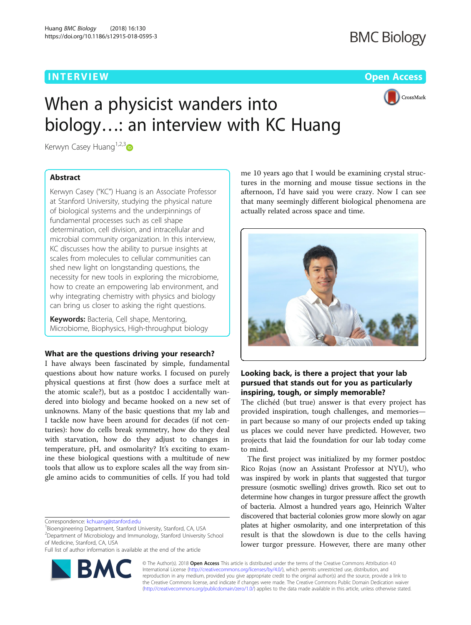## **INTERVIEW ACCESS AND LOCAL CONTRACT CONTRACT OF ACCESS**



# When a physicist wanders into biology…: an interview with KC Huang

Kerwyn Casey Huang<sup>1,2,[3](http://orcid.org/0000-0002-8043-8138)</sup>

## Abstract

Kerwyn Casey ("KC") Huang is an Associate Professor at Stanford University, studying the physical nature of biological systems and the underpinnings of fundamental processes such as cell shape determination, cell division, and intracellular and microbial community organization. In this interview, KC discusses how the ability to pursue insights at scales from molecules to cellular communities can shed new light on longstanding questions, the necessity for new tools in exploring the microbiome, how to create an empowering lab environment, and why integrating chemistry with physics and biology can bring us closer to asking the right questions.

Keywords: Bacteria, Cell shape, Mentoring, Microbiome, Biophysics, High-throughput biology

## What are the questions driving your research?

I have always been fascinated by simple, fundamental questions about how nature works. I focused on purely physical questions at first (how does a surface melt at the atomic scale?), but as a postdoc I accidentally wandered into biology and became hooked on a new set of unknowns. Many of the basic questions that my lab and I tackle now have been around for decades (if not centuries): how do cells break symmetry, how do they deal with starvation, how do they adjust to changes in temperature, pH, and osmolarity? It's exciting to examine these biological questions with a multitude of new tools that allow us to explore scales all the way from single amino acids to communities of cells. If you had told

Correspondence: [kchuang@stanford.edu](mailto:kchuang@stanford.edu) <sup>1</sup>

<sup>1</sup> Bioengineering Department, Stanford University, Stanford, CA, USA <sup>2</sup> Department of Microbiology and Immunology, Stanford University School of Medicine, Stanford, CA, USA

Full list of author information is available at the end of the article



me 10 years ago that I would be examining crystal structures in the morning and mouse tissue sections in the afternoon, I'd have said you were crazy. Now I can see that many seemingly different biological phenomena are actually related across space and time.



## Looking back, is there a project that your lab pursued that stands out for you as particularly inspiring, tough, or simply memorable?

The clichéd (but true) answer is that every project has provided inspiration, tough challenges, and memories in part because so many of our projects ended up taking us places we could never have predicted. However, two projects that laid the foundation for our lab today come to mind.

The first project was initialized by my former postdoc Rico Rojas (now an Assistant Professor at NYU), who was inspired by work in plants that suggested that turgor pressure (osmotic swelling) drives growth. Rico set out to determine how changes in turgor pressure affect the growth of bacteria. Almost a hundred years ago, Heinrich Walter discovered that bacterial colonies grow more slowly on agar plates at higher osmolarity, and one interpretation of this result is that the slowdown is due to the cells having lower turgor pressure. However, there are many other

© The Author(s). 2018 Open Access This article is distributed under the terms of the Creative Commons Attribution 4.0 International License [\(http://creativecommons.org/licenses/by/4.0/](http://creativecommons.org/licenses/by/4.0/)), which permits unrestricted use, distribution, and reproduction in any medium, provided you give appropriate credit to the original author(s) and the source, provide a link to the Creative Commons license, and indicate if changes were made. The Creative Commons Public Domain Dedication waiver [\(http://creativecommons.org/publicdomain/zero/1.0/](http://creativecommons.org/publicdomain/zero/1.0/)) applies to the data made available in this article, unless otherwise stated.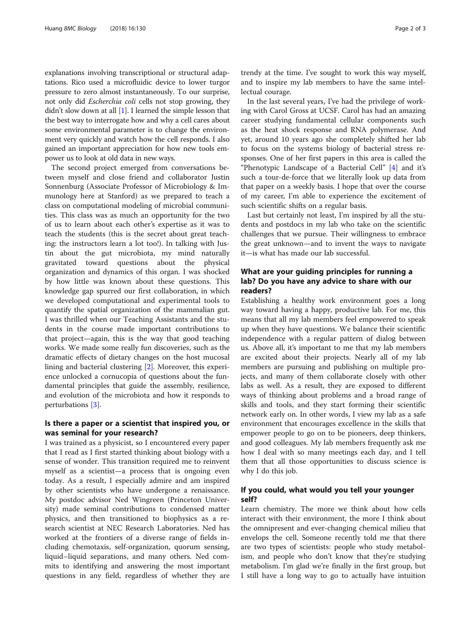explanations involving transcriptional or structural adaptations. Rico used a microfluidic device to lower turgor pressure to zero almost instantaneously. To our surprise, not only did Escherchia coli cells not stop growing, they didn't slow down at all [\[1\]](#page-2-0). I learned the simple lesson that the best way to interrogate how and why a cell cares about some environmental parameter is to change the environment very quickly and watch how the cell responds. I also gained an important appreciation for how new tools empower us to look at old data in new ways.

The second project emerged from conversations between myself and close friend and collaborator Justin Sonnenburg (Associate Professor of Microbiology & Immunology here at Stanford) as we prepared to teach a class on computational modeling of microbial communities. This class was as much an opportunity for the two of us to learn about each other's expertise as it was to teach the students (this is the secret about great teaching: the instructors learn a lot too!). In talking with Justin about the gut microbiota, my mind naturally gravitated toward questions about the physical organization and dynamics of this organ. I was shocked by how little was known about these questions. This knowledge gap spurred our first collaboration, in which we developed computational and experimental tools to quantify the spatial organization of the mammalian gut. I was thrilled when our Teaching Assistants and the students in the course made important contributions to that project—again, this is the way that good teaching works. We made some really fun discoveries, such as the dramatic effects of dietary changes on the host mucosal lining and bacterial clustering [[2\]](#page-2-0). Moreover, this experience unlocked a cornucopia of questions about the fundamental principles that guide the assembly, resilience, and evolution of the microbiota and how it responds to perturbations [[3\]](#page-2-0).

## Is there a paper or a scientist that inspired you, or was seminal for your research?

I was trained as a physicist, so I encountered every paper that I read as I first started thinking about biology with a sense of wonder. This transition required me to reinvent myself as a scientist—a process that is ongoing even today. As a result, I especially admire and am inspired by other scientists who have undergone a renaissance. My postdoc advisor Ned Wingreen (Princeton University) made seminal contributions to condensed matter physics, and then transitioned to biophysics as a research scientist at NEC Research Laboratories. Ned has worked at the frontiers of a diverse range of fields including chemotaxis, self-organization, quorum sensing, liquid–liquid separations, and many others. Ned commits to identifying and answering the most important questions in any field, regardless of whether they are trendy at the time. I've sought to work this way myself, and to inspire my lab members to have the same intellectual courage.

In the last several years, I've had the privilege of working with Carol Gross at UCSF. Carol has had an amazing career studying fundamental cellular components such as the heat shock response and RNA polymerase. And yet, around 10 years ago she completely shifted her lab to focus on the systems biology of bacterial stress responses. One of her first papers in this area is called the "Phenotypic Landscape of a Bacterial Cell" [\[4](#page-2-0)] and it's such a tour-de-force that we literally look up data from that paper on a weekly basis. I hope that over the course of my career, I'm able to experience the excitement of such scientific shifts on a regular basis.

Last but certainly not least, I'm inspired by all the students and postdocs in my lab who take on the scientific challenges that we pursue. Their willingness to embrace the great unknown—and to invent the ways to navigate it—is what has made our lab successful.

## What are your guiding principles for running a lab? Do you have any advice to share with our readers?

Establishing a healthy work environment goes a long way toward having a happy, productive lab. For me, this means that all my lab members feel empowered to speak up when they have questions. We balance their scientific independence with a regular pattern of dialog between us. Above all, it's important to me that my lab members are excited about their projects. Nearly all of my lab members are pursuing and publishing on multiple projects, and many of them collaborate closely with other labs as well. As a result, they are exposed to different ways of thinking about problems and a broad range of skills and tools, and they start forming their scientific network early on. In other words, I view my lab as a safe environment that encourages excellence in the skills that empower people to go on to be pioneers, deep thinkers, and good colleagues. My lab members frequently ask me how I deal with so many meetings each day, and I tell them that all those opportunities to discuss science is why I do this job.

## If you could, what would you tell your younger self?

Learn chemistry. The more we think about how cells interact with their environment, the more I think about the omnipresent and ever-changing chemical milieu that envelops the cell. Someone recently told me that there are two types of scientists: people who study metabolism, and people who don't know that they're studying metabolism. I'm glad we're finally in the first group, but I still have a long way to go to actually have intuition